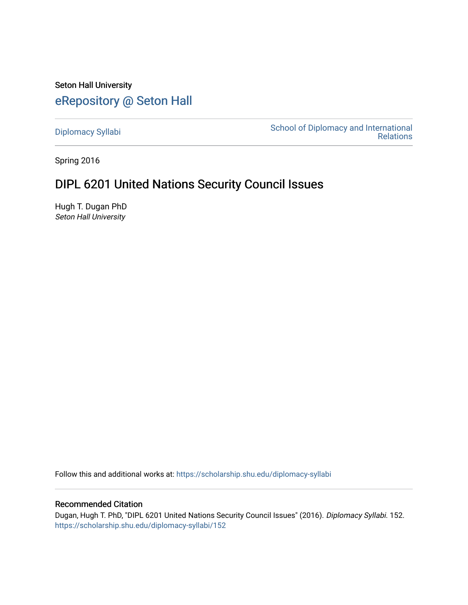Seton Hall University [eRepository @ Seton Hall](https://scholarship.shu.edu/)

[Diplomacy Syllabi](https://scholarship.shu.edu/diplomacy-syllabi) [School of Diplomacy and International](https://scholarship.shu.edu/diplomacy)  [Relations](https://scholarship.shu.edu/diplomacy) 

Spring 2016

# DIPL 6201 United Nations Security Council Issues

Hugh T. Dugan PhD Seton Hall University

Follow this and additional works at: [https://scholarship.shu.edu/diplomacy-syllabi](https://scholarship.shu.edu/diplomacy-syllabi?utm_source=scholarship.shu.edu%2Fdiplomacy-syllabi%2F152&utm_medium=PDF&utm_campaign=PDFCoverPages) 

#### Recommended Citation

Dugan, Hugh T. PhD, "DIPL 6201 United Nations Security Council Issues" (2016). Diplomacy Syllabi. 152. [https://scholarship.shu.edu/diplomacy-syllabi/152](https://scholarship.shu.edu/diplomacy-syllabi/152?utm_source=scholarship.shu.edu%2Fdiplomacy-syllabi%2F152&utm_medium=PDF&utm_campaign=PDFCoverPages)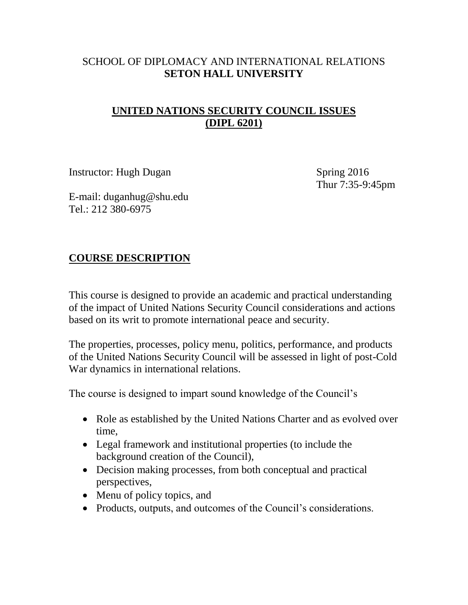### SCHOOL OF DIPLOMACY AND INTERNATIONAL RELATIONS **SETON HALL UNIVERSITY**

## **UNITED NATIONS SECURITY COUNCIL ISSUES (DIPL 6201)**

Instructor: Hugh Dugan Spring 2016

Thur 7:35-9:45pm

E-mail: duganhug@shu.edu Tel.: 212 380-6975

## **COURSE DESCRIPTION**

This course is designed to provide an academic and practical understanding of the impact of United Nations Security Council considerations and actions based on its writ to promote international peace and security.

The properties, processes, policy menu, politics, performance, and products of the United Nations Security Council will be assessed in light of post-Cold War dynamics in international relations.

The course is designed to impart sound knowledge of the Council's

- Role as established by the United Nations Charter and as evolved over time,
- Legal framework and institutional properties (to include the background creation of the Council),
- Decision making processes, from both conceptual and practical perspectives,
- Menu of policy topics, and
- Products, outputs, and outcomes of the Council's considerations.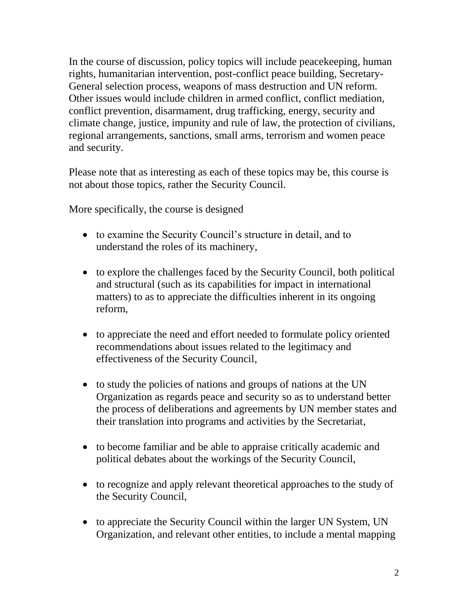In the course of discussion, policy topics will include peacekeeping, human rights, humanitarian intervention, post-conflict peace building, Secretary-General selection process, weapons of mass destruction and UN reform. Other issues would include children in armed conflict, conflict mediation, conflict prevention, disarmament, drug trafficking, energy, security and climate change, justice, impunity and rule of law, the protection of civilians, regional arrangements, sanctions, small arms, terrorism and women peace and security.

Please note that as interesting as each of these topics may be, this course is not about those topics, rather the Security Council.

More specifically, the course is designed

- to examine the Security Council's structure in detail, and to understand the roles of its machinery,
- to explore the challenges faced by the Security Council, both political and structural (such as its capabilities for impact in international matters) to as to appreciate the difficulties inherent in its ongoing reform,
- to appreciate the need and effort needed to formulate policy oriented recommendations about issues related to the legitimacy and effectiveness of the Security Council,
- to study the policies of nations and groups of nations at the UN Organization as regards peace and security so as to understand better the process of deliberations and agreements by UN member states and their translation into programs and activities by the Secretariat,
- to become familiar and be able to appraise critically academic and political debates about the workings of the Security Council,
- to recognize and apply relevant theoretical approaches to the study of the Security Council,
- to appreciate the Security Council within the larger UN System, UN Organization, and relevant other entities, to include a mental mapping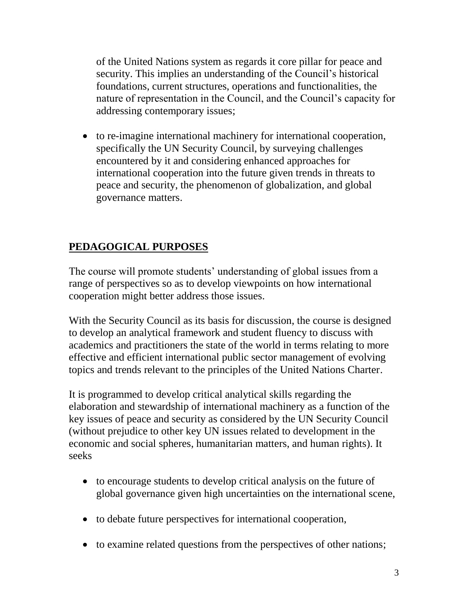of the United Nations system as regards it core pillar for peace and security. This implies an understanding of the Council's historical foundations, current structures, operations and functionalities, the nature of representation in the Council, and the Council's capacity for addressing contemporary issues;

• to re-imagine international machinery for international cooperation, specifically the UN Security Council, by surveying challenges encountered by it and considering enhanced approaches for international cooperation into the future given trends in threats to peace and security, the phenomenon of globalization, and global governance matters.

## **PEDAGOGICAL PURPOSES**

The course will promote students' understanding of global issues from a range of perspectives so as to develop viewpoints on how international cooperation might better address those issues.

With the Security Council as its basis for discussion, the course is designed to develop an analytical framework and student fluency to discuss with academics and practitioners the state of the world in terms relating to more effective and efficient international public sector management of evolving topics and trends relevant to the principles of the United Nations Charter.

It is programmed to develop critical analytical skills regarding the elaboration and stewardship of international machinery as a function of the key issues of peace and security as considered by the UN Security Council (without prejudice to other key UN issues related to development in the economic and social spheres, humanitarian matters, and human rights). It seeks

- to encourage students to develop critical analysis on the future of global governance given high uncertainties on the international scene,
- to debate future perspectives for international cooperation,
- to examine related questions from the perspectives of other nations;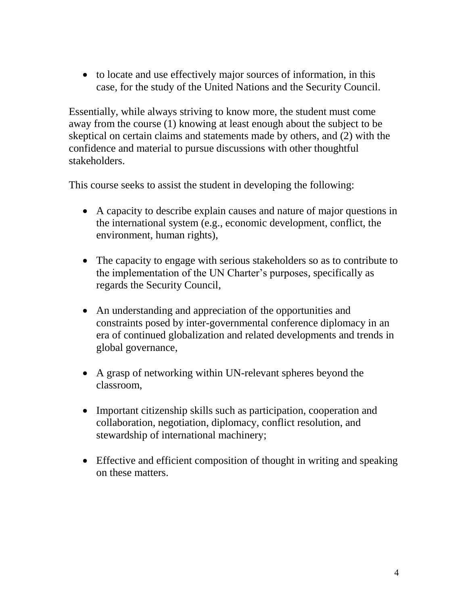• to locate and use effectively major sources of information, in this case, for the study of the United Nations and the Security Council.

Essentially, while always striving to know more, the student must come away from the course (1) knowing at least enough about the subject to be skeptical on certain claims and statements made by others, and (2) with the confidence and material to pursue discussions with other thoughtful stakeholders.

This course seeks to assist the student in developing the following:

- A capacity to describe explain causes and nature of major questions in the international system (e.g., economic development, conflict, the environment, human rights),
- The capacity to engage with serious stakeholders so as to contribute to the implementation of the UN Charter's purposes, specifically as regards the Security Council,
- An understanding and appreciation of the opportunities and constraints posed by inter-governmental conference diplomacy in an era of continued globalization and related developments and trends in global governance,
- A grasp of networking within UN-relevant spheres beyond the classroom,
- Important citizenship skills such as participation, cooperation and collaboration, negotiation, diplomacy, conflict resolution, and stewardship of international machinery;
- Effective and efficient composition of thought in writing and speaking on these matters.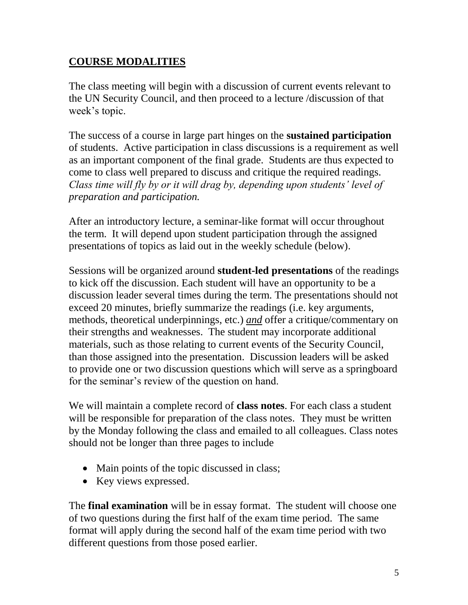## **COURSE MODALITIES**

The class meeting will begin with a discussion of current events relevant to the UN Security Council, and then proceed to a lecture /discussion of that week's topic.

The success of a course in large part hinges on the **sustained participation** of students. Active participation in class discussions is a requirement as well as an important component of the final grade. Students are thus expected to come to class well prepared to discuss and critique the required readings. *Class time will fly by or it will drag by, depending upon students' level of preparation and participation.* 

After an introductory lecture, a seminar-like format will occur throughout the term. It will depend upon student participation through the assigned presentations of topics as laid out in the weekly schedule (below).

Sessions will be organized around **student-led presentations** of the readings to kick off the discussion. Each student will have an opportunity to be a discussion leader several times during the term. The presentations should not exceed 20 minutes, briefly summarize the readings (i.e. key arguments, methods, theoretical underpinnings, etc.) *and* offer a critique/commentary on their strengths and weaknesses. The student may incorporate additional materials, such as those relating to current events of the Security Council, than those assigned into the presentation. Discussion leaders will be asked to provide one or two discussion questions which will serve as a springboard for the seminar's review of the question on hand.

We will maintain a complete record of **class notes**. For each class a student will be responsible for preparation of the class notes. They must be written by the Monday following the class and emailed to all colleagues. Class notes should not be longer than three pages to include

- Main points of the topic discussed in class;
- Key views expressed.

The **final examination** will be in essay format. The student will choose one of two questions during the first half of the exam time period. The same format will apply during the second half of the exam time period with two different questions from those posed earlier.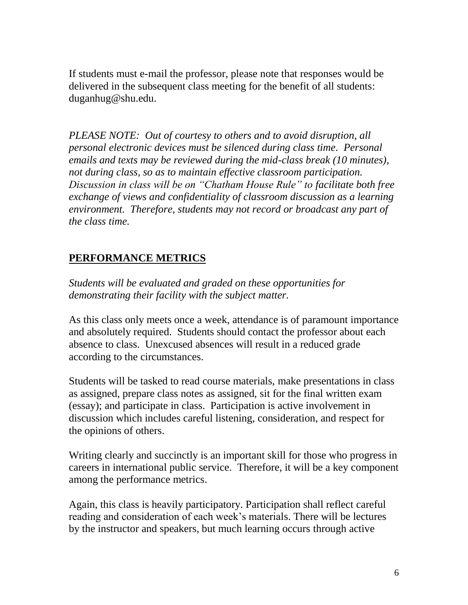If students must e-mail the professor, please note that responses would be delivered in the subsequent class meeting for the benefit of all students: duganhug@shu.edu.

*PLEASE NOTE: Out of courtesy to others and to avoid disruption, all personal electronic devices must be silenced during class time. Personal emails and texts may be reviewed during the mid-class break (10 minutes), not during class, so as to maintain effective classroom participation. Discussion in class will be on "Chatham House Rule" to facilitate both free exchange of views and confidentiality of classroom discussion as a learning environment. Therefore, students may not record or broadcast any part of the class time.* 

# **PERFORMANCE METRICS**

*Students will be evaluated and graded on these opportunities for demonstrating their facility with the subject matter.*

As this class only meets once a week, attendance is of paramount importance and absolutely required. Students should contact the professor about each absence to class. Unexcused absences will result in a reduced grade according to the circumstances.

Students will be tasked to read course materials, make presentations in class as assigned, prepare class notes as assigned, sit for the final written exam (essay); and participate in class. Participation is active involvement in discussion which includes careful listening, consideration, and respect for the opinions of others.

Writing clearly and succinctly is an important skill for those who progress in careers in international public service. Therefore, it will be a key component among the performance metrics.

Again, this class is heavily participatory. Participation shall reflect careful reading and consideration of each week's materials. There will be lectures by the instructor and speakers, but much learning occurs through active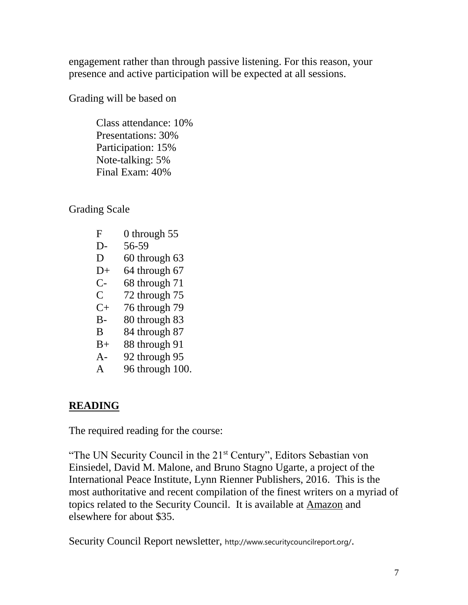engagement rather than through passive listening. For this reason, your presence and active participation will be expected at all sessions.

Grading will be based on

Class attendance: 10% Presentations: 30% Participation: 15% Note-talking: 5% Final Exam: 40%

Grading Scale

- F 0 through 55
- D- 56-59
- D 60 through 63
- $D+ 64$  through 67
- C- 68 through 71
- C 72 through 75
- $C+ 76$  through 79
- B- 80 through 83
- B 84 through 87
- B+ 88 through 91
- A- 92 through 95
- A 96 through 100.

## **READING**

The required reading for the course:

"The UN Security Council in the 21<sup>st</sup> Century", Editors Sebastian von Einsiedel, David M. Malone, and Bruno Stagno Ugarte, a project of the International Peace Institute, Lynn Rienner Publishers, 2016. This is the most authoritative and recent compilation of the finest writers on a myriad of topics related to the Security Council. It is available at [Amazon](http://www.amazon.com/UN-Security-Council-21st-Century/dp/1626372594/ref=sr_1_1?ie=UTF8&qid=1452785401&sr=8-1&keywords=The+UN+Security+Council+in+the+21st+Century) and elsewhere for about \$35.

Security Council Report newsletter, http://www.securitycouncilreport.org/.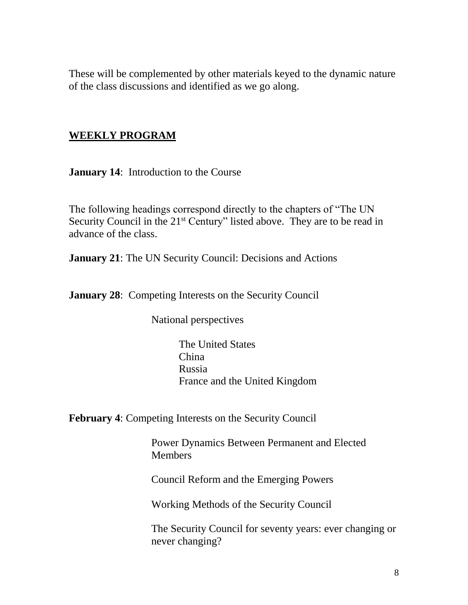These will be complemented by other materials keyed to the dynamic nature of the class discussions and identified as we go along.

### **WEEKLY PROGRAM**

**January 14**: Introduction to the Course

The following headings correspond directly to the chapters of "The UN Security Council in the 21<sup>st</sup> Century" listed above. They are to be read in advance of the class.

**January 21**: The UN Security Council: Decisions and Actions

**January 28:** Competing Interests on the Security Council

National perspectives

The United States China Russia France and the United Kingdom

**February 4**: Competing Interests on the Security Council

Power Dynamics Between Permanent and Elected **Members** 

Council Reform and the Emerging Powers

Working Methods of the Security Council

The Security Council for seventy years: ever changing or never changing?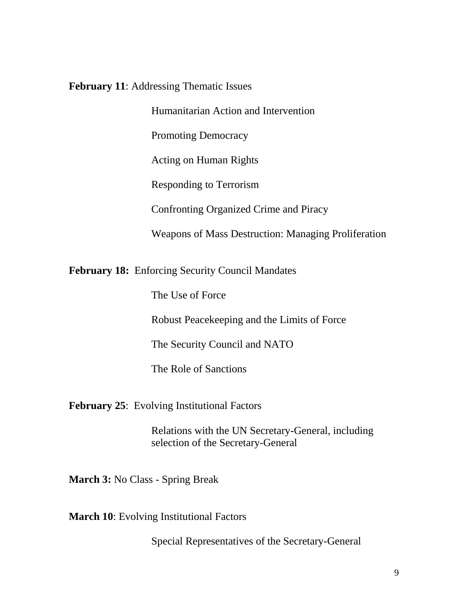**February 11**: Addressing Thematic Issues

Humanitarian Action and Intervention

Promoting Democracy

Acting on Human Rights

Responding to Terrorism

Confronting Organized Crime and Piracy

Weapons of Mass Destruction: Managing Proliferation

**February 18:** Enforcing Security Council Mandates

The Use of Force

Robust Peacekeeping and the Limits of Force

The Security Council and NATO

The Role of Sanctions

**February 25**: Evolving Institutional Factors

Relations with the UN Secretary-General, including selection of the Secretary-General

**March 3:** No Class - Spring Break

**March 10:** Evolving Institutional Factors

Special Representatives of the Secretary-General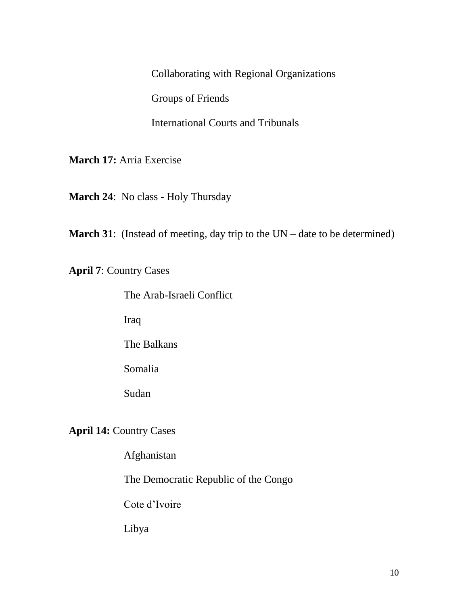Collaborating with Regional Organizations Groups of Friends

International Courts and Tribunals

**March 17:** Arria Exercise

**March 24**: No class - Holy Thursday

**March 31**: (Instead of meeting, day trip to the UN – date to be determined)

**April 7**: Country Cases

The Arab-Israeli Conflict

Iraq

The Balkans

Somalia

Sudan

**April 14: Country Cases** 

Afghanistan

The Democratic Republic of the Congo

Cote d'Ivoire

Libya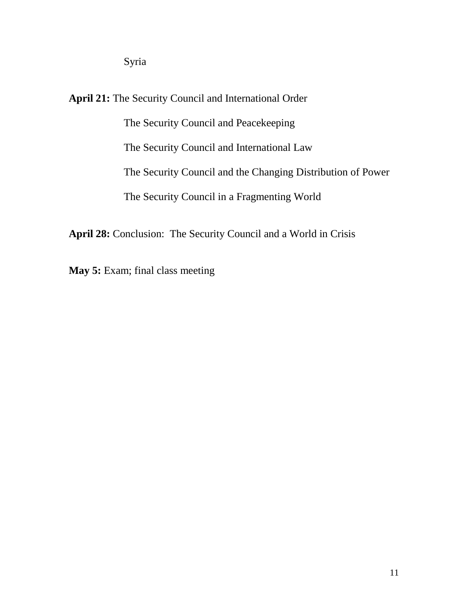Syria

**April 21:** The Security Council and International Order The Security Council and Peacekeeping The Security Council and International Law The Security Council and the Changing Distribution of Power The Security Council in a Fragmenting World

**April 28:** Conclusion: The Security Council and a World in Crisis

**May 5:** Exam; final class meeting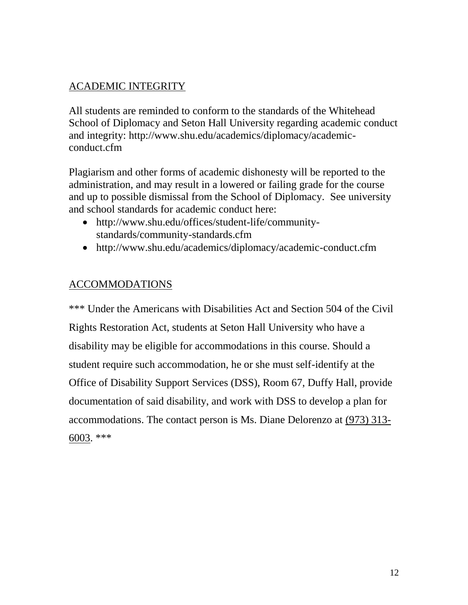## ACADEMIC INTEGRITY

All students are reminded to conform to the standards of the Whitehead School of Diplomacy and Seton Hall University regarding academic conduct and integrity: [http://www.shu.edu/academics/diplomacy/academic](http://www.shu.edu/academics/diplomacy/academic-conduct.cfm)[conduct.cfm](http://www.shu.edu/academics/diplomacy/academic-conduct.cfm)

Plagiarism and other forms of academic dishonesty will be reported to the administration, and may result in a lowered or failing grade for the course and up to possible dismissal from the School of Diplomacy. See university and school standards for academic conduct here:

- [http://www.shu.edu/offices/student-life/community](http://www.shu.edu/offices/student-life/community-standards/community-standards.cfm)[standards/community-standards.cfm](http://www.shu.edu/offices/student-life/community-standards/community-standards.cfm)
- <http://www.shu.edu/academics/diplomacy/academic-conduct.cfm>

## ACCOMMODATIONS

\*\*\* Under the Americans with Disabilities Act and Section 504 of the Civil Rights Restoration Act, students at Seton Hall University who have a disability may be eligible for accommodations in this course. Should a student require such accommodation, he or she must self-identify at the Office of Disability Support Services (DSS), Room 67, Duffy Hall, provide documentation of said disability, and work with DSS to develop a plan for accommodations. The contact person is Ms. Diane Delorenzo at [\(973\) 313-](http://tel:%28973%29%20313-6003) [6003.](http://tel:%28973%29%20313-6003) \*\*\*